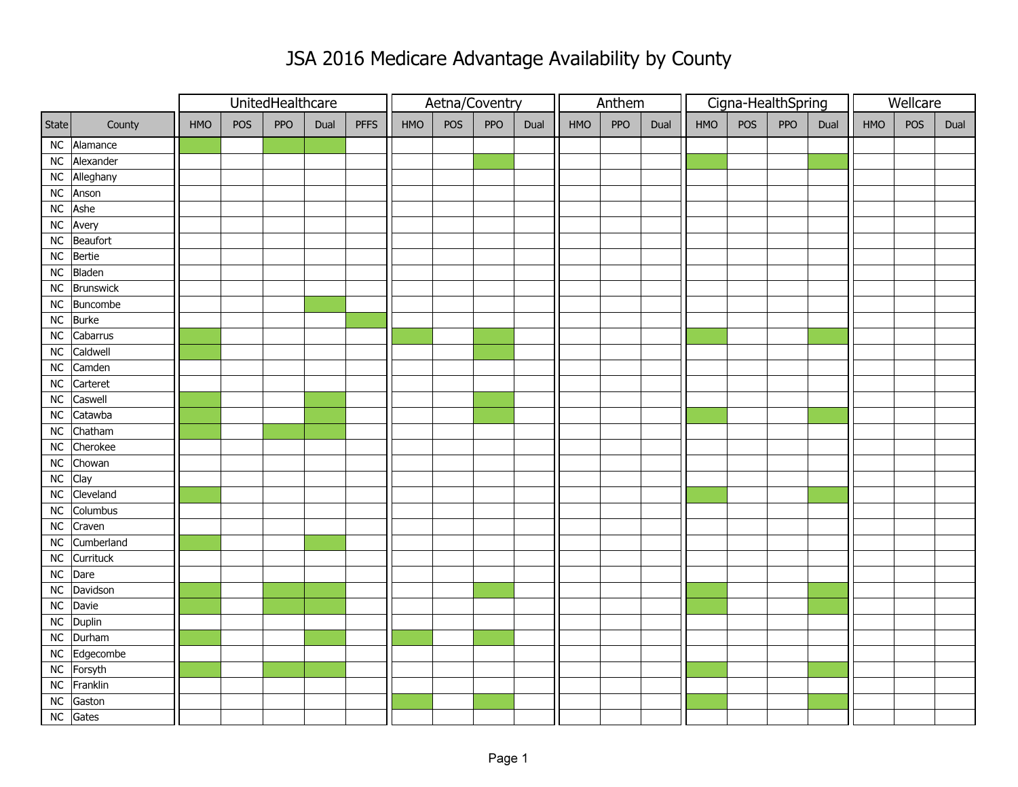## JSA 2016 Medicare Advantage Availability by County

|            |                                 |     |     | UnitedHealthcare |      |             | Aetna/Coventry |     |     |      |     | Anthem |      |            |     | Cigna-HealthSpring | Wellcare |            |     |      |
|------------|---------------------------------|-----|-----|------------------|------|-------------|----------------|-----|-----|------|-----|--------|------|------------|-----|--------------------|----------|------------|-----|------|
| State      | County                          | HMO | POS | PPO              | Dual | <b>PFFS</b> | HMO            | POS | PPO | Dual | HMO | PPO    | Dual | <b>HMO</b> | POS | PPO                | Dual     | <b>HMO</b> | POS | Dual |
|            | NC Alamance                     |     |     |                  |      |             |                |     |     |      |     |        |      |            |     |                    |          |            |     |      |
|            | NC Alexander                    |     |     |                  |      |             |                |     |     |      |     |        |      |            |     |                    |          |            |     |      |
|            | NC Alleghany                    |     |     |                  |      |             |                |     |     |      |     |        |      |            |     |                    |          |            |     |      |
|            | NC Anson                        |     |     |                  |      |             |                |     |     |      |     |        |      |            |     |                    |          |            |     |      |
| ${\sf NC}$ | Ashe                            |     |     |                  |      |             |                |     |     |      |     |        |      |            |     |                    |          |            |     |      |
| ${\sf NC}$ | Avery                           |     |     |                  |      |             |                |     |     |      |     |        |      |            |     |                    |          |            |     |      |
| ${\sf NC}$ | Beaufort                        |     |     |                  |      |             |                |     |     |      |     |        |      |            |     |                    |          |            |     |      |
| ${\sf NC}$ | Bertie                          |     |     |                  |      |             |                |     |     |      |     |        |      |            |     |                    |          |            |     |      |
| ${\sf NC}$ | Bladen                          |     |     |                  |      |             |                |     |     |      |     |        |      |            |     |                    |          |            |     |      |
|            | NC Brunswick                    |     |     |                  |      |             |                |     |     |      |     |        |      |            |     |                    |          |            |     |      |
|            | NC Buncombe                     |     |     |                  |      |             |                |     |     |      |     |        |      |            |     |                    |          |            |     |      |
|            | NC Burke                        |     |     |                  |      |             |                |     |     |      |     |        |      |            |     |                    |          |            |     |      |
| ${\sf NC}$ | $\overline{\mathsf{C}}$ abarrus |     |     |                  |      |             |                |     |     |      |     |        |      |            |     |                    |          |            |     |      |
| ${\sf NC}$ | Caldwell                        |     |     |                  |      |             |                |     |     |      |     |        |      |            |     |                    |          |            |     |      |
| ${\sf NC}$ | Camden                          |     |     |                  |      |             |                |     |     |      |     |        |      |            |     |                    |          |            |     |      |
| ${\sf NC}$ | Carteret                        |     |     |                  |      |             |                |     |     |      |     |        |      |            |     |                    |          |            |     |      |
| ${\sf NC}$ | Caswell                         |     |     |                  |      |             |                |     |     |      |     |        |      |            |     |                    |          |            |     |      |
| $\sf NC$   | Catawba                         |     |     |                  |      |             |                |     |     |      |     |        |      |            |     |                    |          |            |     |      |
|            | NC Chatham                      |     |     |                  |      |             |                |     |     |      |     |        |      |            |     |                    |          |            |     |      |
|            | NC Cherokee                     |     |     |                  |      |             |                |     |     |      |     |        |      |            |     |                    |          |            |     |      |
| ${\sf NC}$ | Chowan                          |     |     |                  |      |             |                |     |     |      |     |        |      |            |     |                    |          |            |     |      |
| NC         | Clay                            |     |     |                  |      |             |                |     |     |      |     |        |      |            |     |                    |          |            |     |      |
| NC         | Cleveland                       |     |     |                  |      |             |                |     |     |      |     |        |      |            |     |                    |          |            |     |      |
| ${\sf NC}$ | Columbus                        |     |     |                  |      |             |                |     |     |      |     |        |      |            |     |                    |          |            |     |      |
| ${\sf NC}$ | Craven                          |     |     |                  |      |             |                |     |     |      |     |        |      |            |     |                    |          |            |     |      |
| ${\sf NC}$ | Cumberland                      |     |     |                  |      |             |                |     |     |      |     |        |      |            |     |                    |          |            |     |      |
|            | NC Currituck                    |     |     |                  |      |             |                |     |     |      |     |        |      |            |     |                    |          |            |     |      |
|            | NC Dare                         |     |     |                  |      |             |                |     |     |      |     |        |      |            |     |                    |          |            |     |      |
| ${\sf NC}$ | Davidson                        |     |     |                  |      |             |                |     |     |      |     |        |      |            |     |                    |          |            |     |      |
| ${\sf NC}$ | Davie                           |     |     |                  |      |             |                |     |     |      |     |        |      |            |     |                    |          |            |     |      |
|            | NC Duplin                       |     |     |                  |      |             |                |     |     |      |     |        |      |            |     |                    |          |            |     |      |
|            | NC Durham                       |     |     |                  |      |             |                |     |     |      |     |        |      |            |     |                    |          |            |     |      |
|            | NC Edgecombe                    |     |     |                  |      |             |                |     |     |      |     |        |      |            |     |                    |          |            |     |      |
|            | NC Forsyth                      |     |     |                  |      |             |                |     |     |      |     |        |      |            |     |                    |          |            |     |      |
|            | NC Franklin                     |     |     |                  |      |             |                |     |     |      |     |        |      |            |     |                    |          |            |     |      |
| ${\sf NC}$ | Gaston                          |     |     |                  |      |             |                |     |     |      |     |        |      |            |     |                    |          |            |     |      |
|            | NC Gates                        |     |     |                  |      |             |                |     |     |      |     |        |      |            |     |                    |          |            |     |      |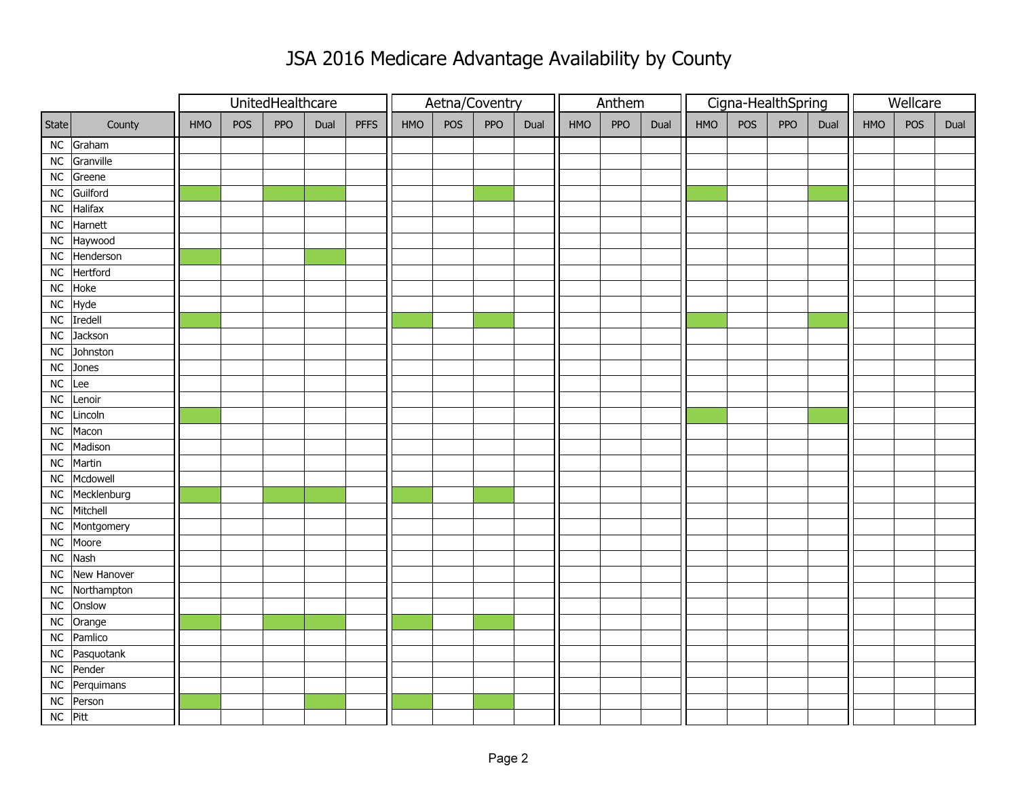## JSA 2016 Medicare Advantage Availability by County

|            |               |            |     | UnitedHealthcare |      |             | Aetna/Coventry |     |     |      |            | Anthem |      |            | Cigna-HealthSpring |     | Wellcare |     |     |      |
|------------|---------------|------------|-----|------------------|------|-------------|----------------|-----|-----|------|------------|--------|------|------------|--------------------|-----|----------|-----|-----|------|
| State      | County        | <b>HMO</b> | POS | <b>PPO</b>       | Dual | <b>PFFS</b> | HMO            | POS | PPO | Dual | <b>HMO</b> | PPO    | Dual | <b>HMO</b> | POS                | PPO | Dual     | HMO | POS | Dual |
|            | $NC$ Graham   |            |     |                  |      |             |                |     |     |      |            |        |      |            |                    |     |          |     |     |      |
| ${\sf NC}$ | Granville     |            |     |                  |      |             |                |     |     |      |            |        |      |            |                    |     |          |     |     |      |
| ${\sf NC}$ | Greene        |            |     |                  |      |             |                |     |     |      |            |        |      |            |                    |     |          |     |     |      |
| ${\sf NC}$ | Guilford      |            |     |                  |      |             |                |     |     |      |            |        |      |            |                    |     |          |     |     |      |
| ${\sf NC}$ | Halifax       |            |     |                  |      |             |                |     |     |      |            |        |      |            |                    |     |          |     |     |      |
| ${\sf NC}$ | Harnett       |            |     |                  |      |             |                |     |     |      |            |        |      |            |                    |     |          |     |     |      |
| ${\sf NC}$ | Haywood       |            |     |                  |      |             |                |     |     |      |            |        |      |            |                    |     |          |     |     |      |
| ${\sf NC}$ | Henderson     |            |     |                  |      |             |                |     |     |      |            |        |      |            |                    |     |          |     |     |      |
| ${\sf NC}$ | Hertford      |            |     |                  |      |             |                |     |     |      |            |        |      |            |                    |     |          |     |     |      |
| ${\sf NC}$ | Hoke          |            |     |                  |      |             |                |     |     |      |            |        |      |            |                    |     |          |     |     |      |
| NC         | Hyde          |            |     |                  |      |             |                |     |     |      |            |        |      |            |                    |     |          |     |     |      |
| ${\sf NC}$ | Iredell       |            |     |                  |      |             |                |     |     |      |            |        |      |            |                    |     |          |     |     |      |
| ${\sf NC}$ | Jackson       |            |     |                  |      |             |                |     |     |      |            |        |      |            |                    |     |          |     |     |      |
| ${\sf NC}$ | Johnston      |            |     |                  |      |             |                |     |     |      |            |        |      |            |                    |     |          |     |     |      |
| ${\sf NC}$ | Jones         |            |     |                  |      |             |                |     |     |      |            |        |      |            |                    |     |          |     |     |      |
| ${\sf NC}$ | Lee           |            |     |                  |      |             |                |     |     |      |            |        |      |            |                    |     |          |     |     |      |
| ${\sf NC}$ | Lenoir        |            |     |                  |      |             |                |     |     |      |            |        |      |            |                    |     |          |     |     |      |
| ${\sf NC}$ | Lincoln       |            |     |                  |      |             |                |     |     |      |            |        |      |            |                    |     |          |     |     |      |
| ${\sf NC}$ | Macon         |            |     |                  |      |             |                |     |     |      |            |        |      |            |                    |     |          |     |     |      |
| ${\sf NC}$ | Madison       |            |     |                  |      |             |                |     |     |      |            |        |      |            |                    |     |          |     |     |      |
| ${\sf NC}$ | Martin        |            |     |                  |      |             |                |     |     |      |            |        |      |            |                    |     |          |     |     |      |
| ${\sf NC}$ | Mcdowell      |            |     |                  |      |             |                |     |     |      |            |        |      |            |                    |     |          |     |     |      |
| ${\sf NC}$ | Mecklenburg   |            |     |                  |      |             |                |     |     |      |            |        |      |            |                    |     |          |     |     |      |
| ${\sf NC}$ | Mitchell      |            |     |                  |      |             |                |     |     |      |            |        |      |            |                    |     |          |     |     |      |
| ${\sf NC}$ | Montgomery    |            |     |                  |      |             |                |     |     |      |            |        |      |            |                    |     |          |     |     |      |
| ${\sf NC}$ | Moore         |            |     |                  |      |             |                |     |     |      |            |        |      |            |                    |     |          |     |     |      |
| ${\sf NC}$ | Nash          |            |     |                  |      |             |                |     |     |      |            |        |      |            |                    |     |          |     |     |      |
| ${\sf NC}$ | New Hanover   |            |     |                  |      |             |                |     |     |      |            |        |      |            |                    |     |          |     |     |      |
| NC         | Northampton   |            |     |                  |      |             |                |     |     |      |            |        |      |            |                    |     |          |     |     |      |
| ${\sf NC}$ | Onslow        |            |     |                  |      |             |                |     |     |      |            |        |      |            |                    |     |          |     |     |      |
| ${\sf NC}$ | Orange        |            |     |                  |      |             |                |     |     |      |            |        |      |            |                    |     |          |     |     |      |
| ${\sf NC}$ | Pamlico       |            |     |                  |      |             |                |     |     |      |            |        |      |            |                    |     |          |     |     |      |
| ${\sf NC}$ | Pasquotank    |            |     |                  |      |             |                |     |     |      |            |        |      |            |                    |     |          |     |     |      |
| ${\sf NC}$ | Pender        |            |     |                  |      |             |                |     |     |      |            |        |      |            |                    |     |          |     |     |      |
|            | NC Perquimans |            |     |                  |      |             |                |     |     |      |            |        |      |            |                    |     |          |     |     |      |
| ${\sf NC}$ | Person        |            |     |                  |      |             |                |     |     |      |            |        |      |            |                    |     |          |     |     |      |
| NC Pitt    |               |            |     |                  |      |             |                |     |     |      |            |        |      |            |                    |     |          |     |     |      |